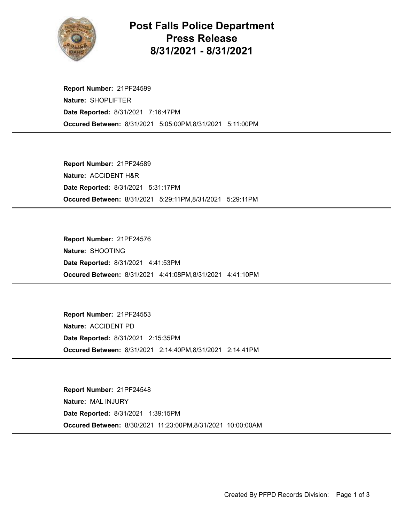

## Post Falls Police Department Press Release 8/31/2021 - 8/31/2021

Occured Between: 8/31/2021 5:05:00PM,8/31/2021 5:11:00PM Report Number: 21PF24599 Nature: SHOPLIFTER Date Reported: 8/31/2021 7:16:47PM

Occured Between: 8/31/2021 5:29:11PM,8/31/2021 5:29:11PM Report Number: 21PF24589 Nature: ACCIDENT H&R Date Reported: 8/31/2021 5:31:17PM

Occured Between: 8/31/2021 4:41:08PM,8/31/2021 4:41:10PM Report Number: 21PF24576 Nature: SHOOTING Date Reported: 8/31/2021 4:41:53PM

Occured Between: 8/31/2021 2:14:40PM,8/31/2021 2:14:41PM Report Number: 21PF24553 Nature: ACCIDENT PD Date Reported: 8/31/2021 2:15:35PM

Occured Between: 8/30/2021 11:23:00PM,8/31/2021 10:00:00AM Report Number: 21PF24548 Nature: MAL INJURY Date Reported: 8/31/2021 1:39:15PM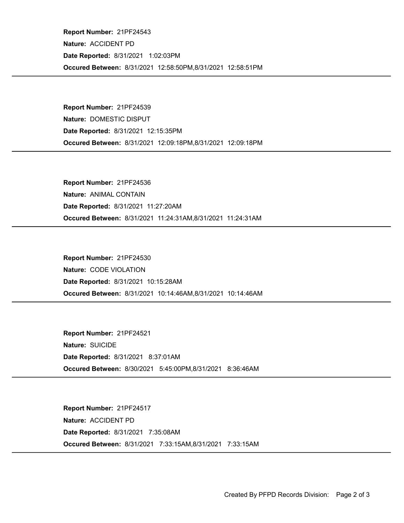Occured Between: 8/31/2021 12:58:50PM,8/31/2021 12:58:51PM Report Number: 21PF24543 Nature: ACCIDENT PD Date Reported: 8/31/2021 1:02:03PM

Occured Between: 8/31/2021 12:09:18PM,8/31/2021 12:09:18PM Report Number: 21PF24539 Nature: DOMESTIC DISPUT Date Reported: 8/31/2021 12:15:35PM

Occured Between: 8/31/2021 11:24:31AM,8/31/2021 11:24:31AM Report Number: 21PF24536 Nature: ANIMAL CONTAIN Date Reported: 8/31/2021 11:27:20AM

Occured Between: 8/31/2021 10:14:46AM,8/31/2021 10:14:46AM Report Number: 21PF24530 Nature: CODE VIOLATION Date Reported: 8/31/2021 10:15:28AM

Occured Between: 8/30/2021 5:45:00PM,8/31/2021 8:36:46AM Report Number: 21PF24521 Nature: SUICIDE Date Reported: 8/31/2021 8:37:01AM

Occured Between: 8/31/2021 7:33:15AM,8/31/2021 7:33:15AM Report Number: 21PF24517 Nature: ACCIDENT PD Date Reported: 8/31/2021 7:35:08AM